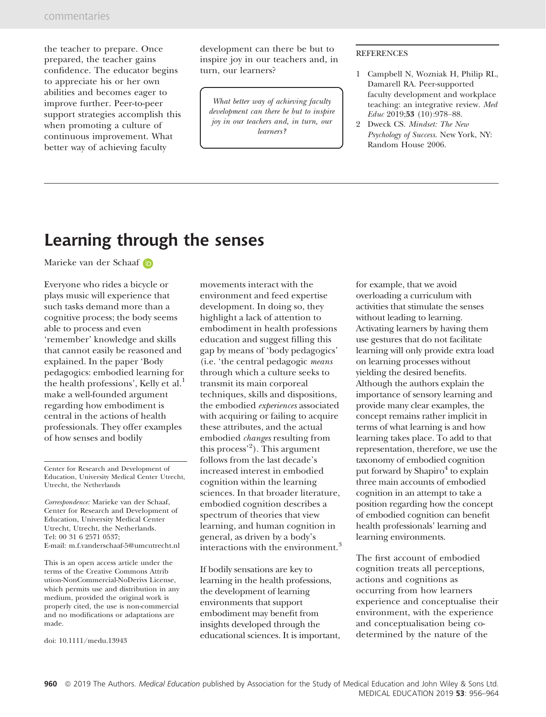the teacher to prepare. Once prepared, the teacher gains confidence. The educator begins to appreciate his or her own abilities and becomes eager to improve further. Peer-to-peer support strategies accomplish this when promoting a culture of continuous improvement. What better way of achieving faculty

development can there be but to inspire joy in our teachers and, in turn, our learners?

What better way of achieving faculty development can there be but to inspire joy in our teachers and, in turn, our learners?

## **REFERENCES**

- 1 Campbell N, Wozniak H, Philip RL, Damarell RA. Peer-supported faculty development and workplace teaching: an integrative review. Med Educ 2019;53 (10):978–88.
- 2 Dweck CS. Mindset: The New Psychology of Success. New York, NY: Random House 2006.

## Learning through the senses

Marieke van der Schaaf in

Everyone who rides a bicycle or plays music will experience that such tasks demand more than a cognitive process; the body seems able to process and even 'remember' knowledge and skills that cannot easily be reasoned and explained. In the paper 'Body pedagogics: embodied learning for the health professions', Kelly et al.<sup>1</sup> make a well-founded argument regarding how embodiment is central in the actions of health professionals. They offer examples of how senses and bodily

Center for Research and Development of Education, University Medical Center Utrecht, Utrecht, the Netherlands

Correspondence: Marieke van der Schaaf, Center for Research and Development of Education, University Medical Center Utrecht, Utrecht, the Netherlands. Tel: 00 31 6 2571 0537; E-mail: [m.f.vanderschaaf-5@umcutrecht.nl](mailto:)

This is an open access article under the terms of the [Creative Commons Attrib](http://creativecommons.org/licenses/by-nc-nd/4.0/) [ution-NonCommercial-NoDerivs](http://creativecommons.org/licenses/by-nc-nd/4.0/) License, which permits use and distribution in any medium, provided the original work is properly cited, the use is non-commercial and no modifications or adaptations are made.

doi: 10.1111/medu.13943

movements interact with the environment and feed expertise development. In doing so, they highlight a lack of attention to embodiment in health professions education and suggest filling this gap by means of 'body pedagogics' (i.e. 'the central pedagogic means through which a culture seeks to transmit its main corporeal techniques, skills and dispositions, the embodied experiences associated with acquiring or failing to acquire these attributes, and the actual embodied changes resulting from this process'<sup>2</sup> ). This argument follows from the last decade's increased interest in embodied cognition within the learning sciences. In that broader literature, embodied cognition describes a spectrum of theories that view learning, and human cognition in general, as driven by a body's interactions with the environment.<sup>3</sup>

If bodily sensations are key to learning in the health professions, the development of learning environments that support embodiment may benefit from insights developed through the educational sciences. It is important, for example, that we avoid overloading a curriculum with activities that stimulate the senses without leading to learning. Activating learners by having them use gestures that do not facilitate learning will only provide extra load on learning processes without yielding the desired benefits. Although the authors explain the importance of sensory learning and provide many clear examples, the concept remains rather implicit in terms of what learning is and how learning takes place. To add to that representation, therefore, we use the taxonomy of embodied cognition put forward by Shapiro<sup>4</sup> to explain three main accounts of embodied cognition in an attempt to take a position regarding how the concept of embodied cognition can benefit health professionals' learning and learning environments.

The first account of embodied cognition treats all perceptions, actions and cognitions as occurring from how learners experience and conceptualise their environment, with the experience and conceptualisation being codetermined by the nature of the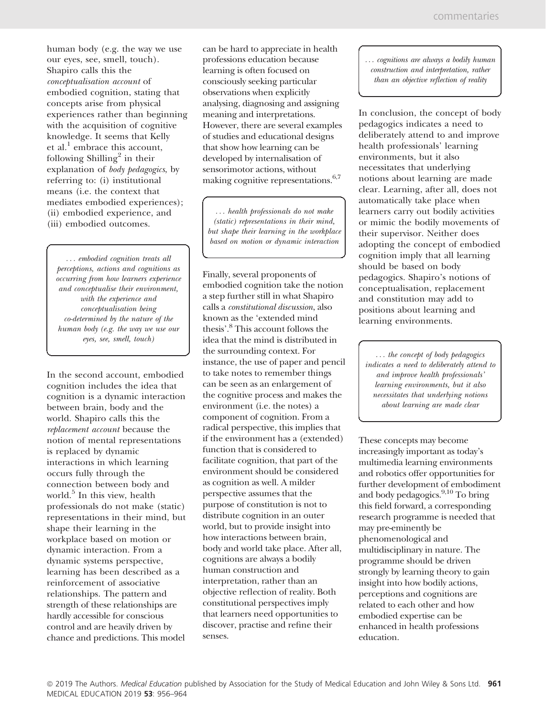human body (e.g. the way we use our eyes, see, smell, touch). Shapiro calls this the conceptualisation account of embodied cognition, stating that concepts arise from physical experiences rather than beginning with the acquisition of cognitive knowledge. It seems that Kelly et al. $<sup>1</sup>$  embrace this account,</sup> following Shilling<sup>2</sup> in their explanation of body pedagogics, by referring to: (i) institutional means (i.e. the context that mediates embodied experiences); (ii) embodied experience, and (iii) embodied outcomes.

... embodied cognition treats all perceptions, actions and cognitions as occurring from how learners experience and conceptualise their environment, with the experience and conceptualisation being co-determined by the nature of the human body (e.g. the way we use our eyes, see, smell, touch)

In the second account, embodied cognition includes the idea that cognition is a dynamic interaction between brain, body and the world. Shapiro calls this the replacement account because the notion of mental representations is replaced by dynamic interactions in which learning occurs fully through the connection between body and world.<sup>5</sup> In this view, health professionals do not make (static) representations in their mind, but shape their learning in the workplace based on motion or dynamic interaction. From a dynamic systems perspective, learning has been described as a reinforcement of associative relationships. The pattern and strength of these relationships are hardly accessible for conscious control and are heavily driven by chance and predictions. This model

can be hard to appreciate in health professions education because learning is often focused on consciously seeking particular observations when explicitly analysing, diagnosing and assigning meaning and interpretations. However, there are several examples of studies and educational designs that show how learning can be developed by internalisation of sensorimotor actions, without making cognitive representations.  $\boldsymbol{^{6,7}}$ 

... health professionals do not make (static) representations in their mind, but shape their learning in the workplace based on motion or dynamic interaction

Finally, several proponents of embodied cognition take the notion a step further still in what Shapiro calls a constitutional discussion, also known as the 'extended mind thesis'.8 This account follows the idea that the mind is distributed in the surrounding context. For instance, the use of paper and pencil to take notes to remember things can be seen as an enlargement of the cognitive process and makes the environment (i.e. the notes) a component of cognition. From a radical perspective, this implies that if the environment has a (extended) function that is considered to facilitate cognition, that part of the environment should be considered as cognition as well. A milder perspective assumes that the purpose of constitution is not to distribute cognition in an outer world, but to provide insight into how interactions between brain, body and world take place. After all, cognitions are always a bodily human construction and interpretation, rather than an objective reflection of reality. Both constitutional perspectives imply that learners need opportunities to discover, practise and refine their senses.

... cognitions are always a bodily human construction and interpretation, rather than an objective reflection of reality

In conclusion, the concept of body pedagogics indicates a need to deliberately attend to and improve health professionals' learning environments, but it also necessitates that underlying notions about learning are made clear. Learning, after all, does not automatically take place when learners carry out bodily activities or mimic the bodily movements of their supervisor. Neither does adopting the concept of embodied cognition imply that all learning should be based on body pedagogics. Shapiro's notions of conceptualisation, replacement and constitution may add to positions about learning and learning environments.

... the concept of body pedagogics indicates a need to deliberately attend to and improve health professionals' learning environments, but it also necessitates that underlying notions about learning are made clear

These concepts may become increasingly important as today's multimedia learning environments and robotics offer opportunities for further development of embodiment and body pedagogics.<sup>9,10</sup> To bring this field forward, a corresponding research programme is needed that may pre-eminently be phenomenological and multidisciplinary in nature. The programme should be driven strongly by learning theory to gain insight into how bodily actions, perceptions and cognitions are related to each other and how embodied expertise can be enhanced in health professions education.